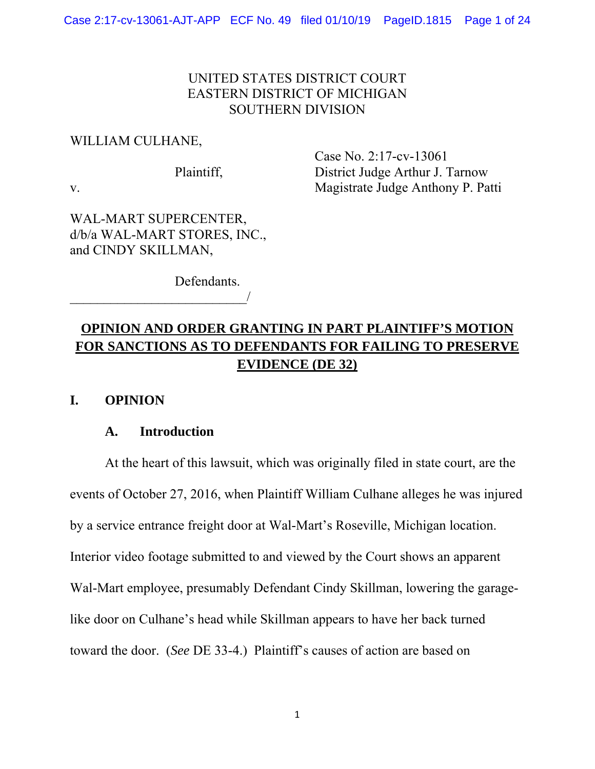### UNITED STATES DISTRICT COURT EASTERN DISTRICT OF MICHIGAN SOUTHERN DIVISION

### WILLIAM CULHANE,

 Case No. 2:17-cv-13061 Plaintiff, District Judge Arthur J. Tarnow v. Magistrate Judge Anthony P. Patti

WAL-MART SUPERCENTER, d/b/a WAL-MART STORES, INC., and CINDY SKILLMAN,

 $\overline{\phantom{a}}$ 

Defendants.

# **OPINION AND ORDER GRANTING IN PART PLAINTIFF'S MOTION FOR SANCTIONS AS TO DEFENDANTS FOR FAILING TO PRESERVE EVIDENCE (DE 32)**

### **I. OPINION**

### **A. Introduction**

At the heart of this lawsuit, which was originally filed in state court, are the events of October 27, 2016, when Plaintiff William Culhane alleges he was injured by a service entrance freight door at Wal-Mart's Roseville, Michigan location. Interior video footage submitted to and viewed by the Court shows an apparent Wal-Mart employee, presumably Defendant Cindy Skillman, lowering the garagelike door on Culhane's head while Skillman appears to have her back turned toward the door. (*See* DE 33-4.) Plaintiff's causes of action are based on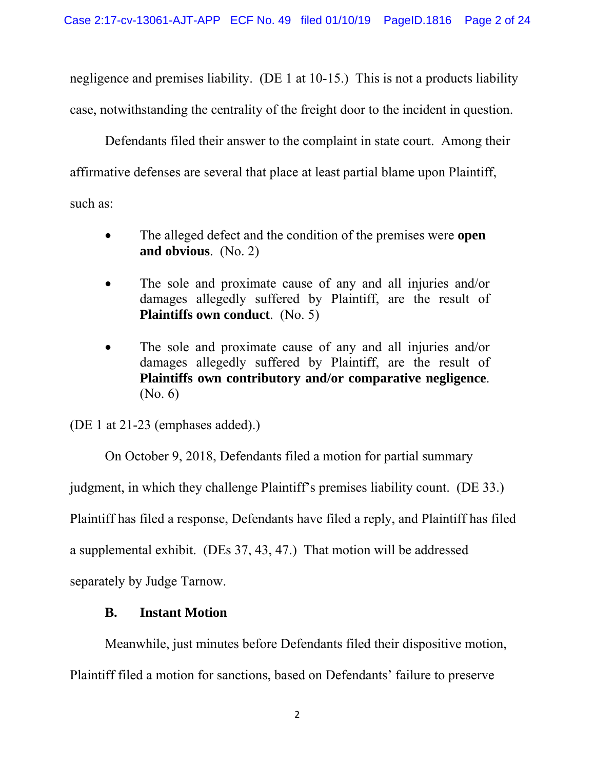negligence and premises liability. (DE 1 at 10-15.) This is not a products liability case, notwithstanding the centrality of the freight door to the incident in question.

Defendants filed their answer to the complaint in state court. Among their affirmative defenses are several that place at least partial blame upon Plaintiff, such as:

- The alleged defect and the condition of the premises were **open and obvious**. (No. 2)
- The sole and proximate cause of any and all injuries and/or damages allegedly suffered by Plaintiff, are the result of **Plaintiffs own conduct**. (No. 5)
- The sole and proximate cause of any and all injuries and/or damages allegedly suffered by Plaintiff, are the result of **Plaintiffs own contributory and/or comparative negligence**. (No. 6)

(DE 1 at 21-23 (emphases added).)

 On October 9, 2018, Defendants filed a motion for partial summary judgment, in which they challenge Plaintiff's premises liability count. (DE 33.) Plaintiff has filed a response, Defendants have filed a reply, and Plaintiff has filed a supplemental exhibit. (DEs 37, 43, 47.) That motion will be addressed separately by Judge Tarnow.

### **B. Instant Motion**

Meanwhile, just minutes before Defendants filed their dispositive motion, Plaintiff filed a motion for sanctions, based on Defendants' failure to preserve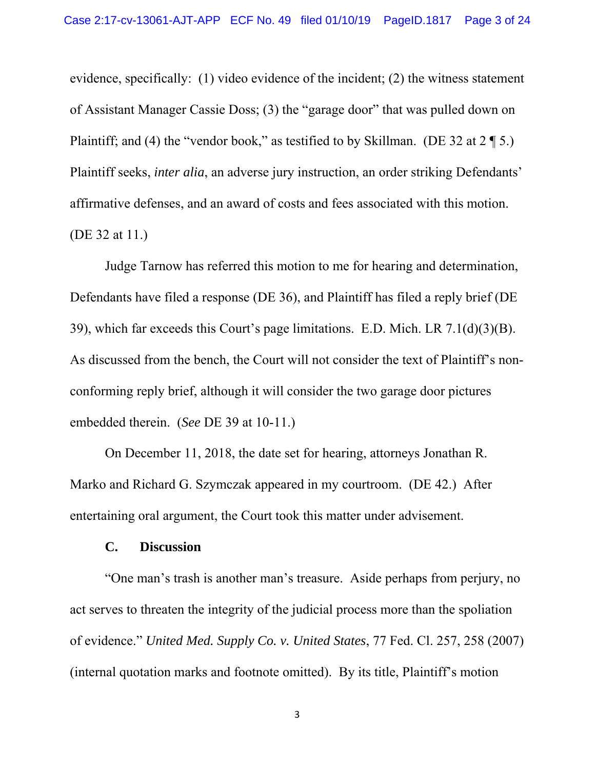evidence, specifically: (1) video evidence of the incident; (2) the witness statement of Assistant Manager Cassie Doss; (3) the "garage door" that was pulled down on Plaintiff; and (4) the "vendor book," as testified to by Skillman. (DE 32 at 2 ¶ 5.) Plaintiff seeks, *inter alia*, an adverse jury instruction, an order striking Defendants' affirmative defenses, and an award of costs and fees associated with this motion. (DE 32 at 11.)

Judge Tarnow has referred this motion to me for hearing and determination, Defendants have filed a response (DE 36), and Plaintiff has filed a reply brief (DE 39), which far exceeds this Court's page limitations. E.D. Mich. LR 7.1(d)(3)(B). As discussed from the bench, the Court will not consider the text of Plaintiff's nonconforming reply brief, although it will consider the two garage door pictures embedded therein. (*See* DE 39 at 10-11.)

On December 11, 2018, the date set for hearing, attorneys Jonathan R. Marko and Richard G. Szymczak appeared in my courtroom. (DE 42.) After entertaining oral argument, the Court took this matter under advisement.

#### **C. Discussion**

"One man's trash is another man's treasure. Aside perhaps from perjury, no act serves to threaten the integrity of the judicial process more than the spoliation of evidence." *United Med. Supply Co. v. United States*, 77 Fed. Cl. 257, 258 (2007) (internal quotation marks and footnote omitted). By its title, Plaintiff's motion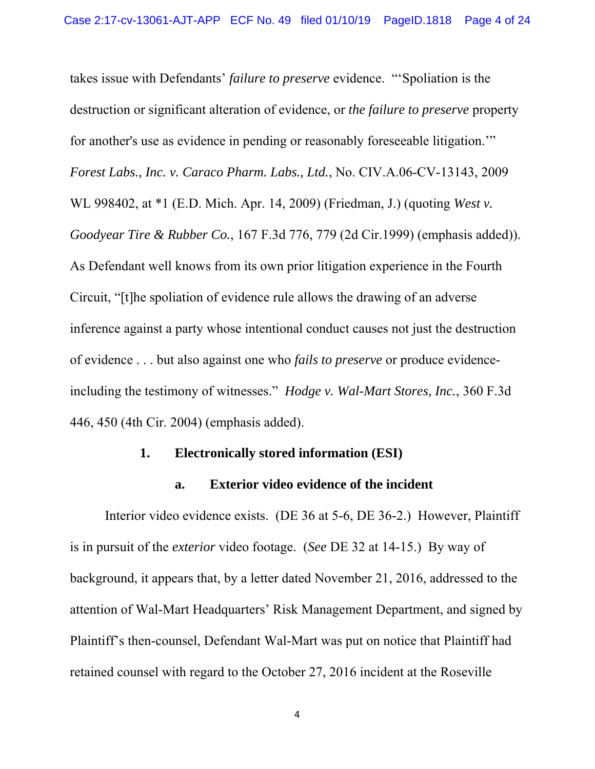takes issue with Defendants' *failure to preserve* evidence. "'Spoliation is the destruction or significant alteration of evidence, or *the failure to preserve* property for another's use as evidence in pending or reasonably foreseeable litigation.'" *Forest Labs., Inc. v. Caraco Pharm. Labs., Ltd.*, No. CIV.A.06-CV-13143, 2009 WL 998402, at \*1 (E.D. Mich. Apr. 14, 2009) (Friedman, J.) (quoting *West v. Goodyear Tire & Rubber Co.*, 167 F.3d 776, 779 (2d Cir.1999) (emphasis added)). As Defendant well knows from its own prior litigation experience in the Fourth Circuit, "[t]he spoliation of evidence rule allows the drawing of an adverse inference against a party whose intentional conduct causes not just the destruction of evidence . . . but also against one who *fails to preserve* or produce evidenceincluding the testimony of witnesses." *Hodge v. Wal-Mart Stores, Inc.*, 360 F.3d 446, 450 (4th Cir. 2004) (emphasis added).

### **1. Electronically stored information (ESI)**

#### **a. Exterior video evidence of the incident**

Interior video evidence exists. (DE 36 at 5-6, DE 36-2.) However, Plaintiff is in pursuit of the *exterior* video footage. (*See* DE 32 at 14-15.) By way of background, it appears that, by a letter dated November 21, 2016, addressed to the attention of Wal-Mart Headquarters' Risk Management Department, and signed by Plaintiff's then-counsel, Defendant Wal-Mart was put on notice that Plaintiff had retained counsel with regard to the October 27, 2016 incident at the Roseville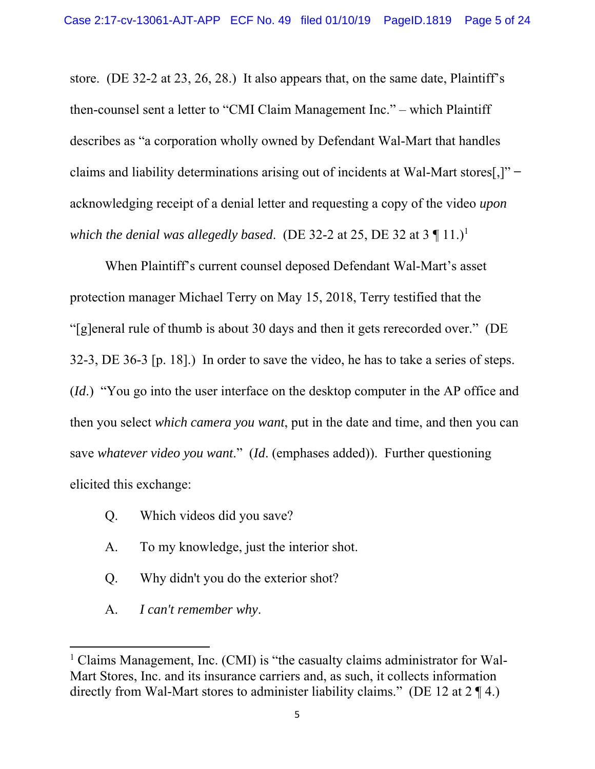store. (DE 32-2 at 23, 26, 28.) It also appears that, on the same date, Plaintiff's then-counsel sent a letter to "CMI Claim Management Inc." – which Plaintiff describes as "a corporation wholly owned by Defendant Wal-Mart that handles claims and liability determinations arising out of incidents at Wal-Mart stores.  $\mathbf{I}^{\prime\prime}$  – acknowledging receipt of a denial letter and requesting a copy of the video *upon which the denial was allegedly based.* (DE 32-2 at 25, DE 32 at 3  $\P$  11.)<sup>1</sup>

When Plaintiff's current counsel deposed Defendant Wal-Mart's asset protection manager Michael Terry on May 15, 2018, Terry testified that the "[g]eneral rule of thumb is about 30 days and then it gets rerecorded over." (DE 32-3, DE 36-3 [p. 18].) In order to save the video, he has to take a series of steps. (*Id*.) "You go into the user interface on the desktop computer in the AP office and then you select *which camera you want*, put in the date and time, and then you can save *whatever video you want*." (*Id*. (emphases added)). Further questioning elicited this exchange:

- Q. Which videos did you save?
- A. To my knowledge, just the interior shot.
- Q. Why didn't you do the exterior shot?
- A. *I can't remember why*.

<sup>&</sup>lt;sup>1</sup> Claims Management, Inc. (CMI) is "the casualty claims administrator for Wal-Mart Stores, Inc. and its insurance carriers and, as such, it collects information directly from Wal-Mart stores to administer liability claims." (DE 12 at 2 ¶ 4.)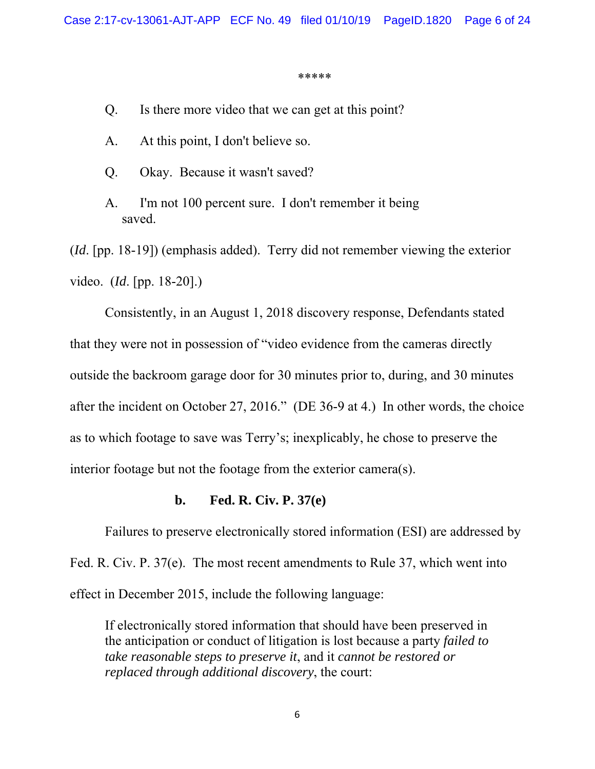\*\*\*\*\*

- Q. Is there more video that we can get at this point?
- A. At this point, I don't believe so.
- Q. Okay. Because it wasn't saved?
- A. I'm not 100 percent sure. I don't remember it being saved.

(*Id*. [pp. 18-19]) (emphasis added). Terry did not remember viewing the exterior video. (*Id*. [pp. 18-20].)

Consistently, in an August 1, 2018 discovery response, Defendants stated that they were not in possession of "video evidence from the cameras directly outside the backroom garage door for 30 minutes prior to, during, and 30 minutes after the incident on October 27, 2016." (DE 36-9 at 4.) In other words, the choice as to which footage to save was Terry's; inexplicably, he chose to preserve the interior footage but not the footage from the exterior camera(s).

### **b. Fed. R. Civ. P. 37(e)**

Failures to preserve electronically stored information (ESI) are addressed by Fed. R. Civ. P. 37(e). The most recent amendments to Rule 37, which went into effect in December 2015, include the following language:

If electronically stored information that should have been preserved in the anticipation or conduct of litigation is lost because a party *failed to take reasonable steps to preserve it*, and it *cannot be restored or replaced through additional discovery*, the court: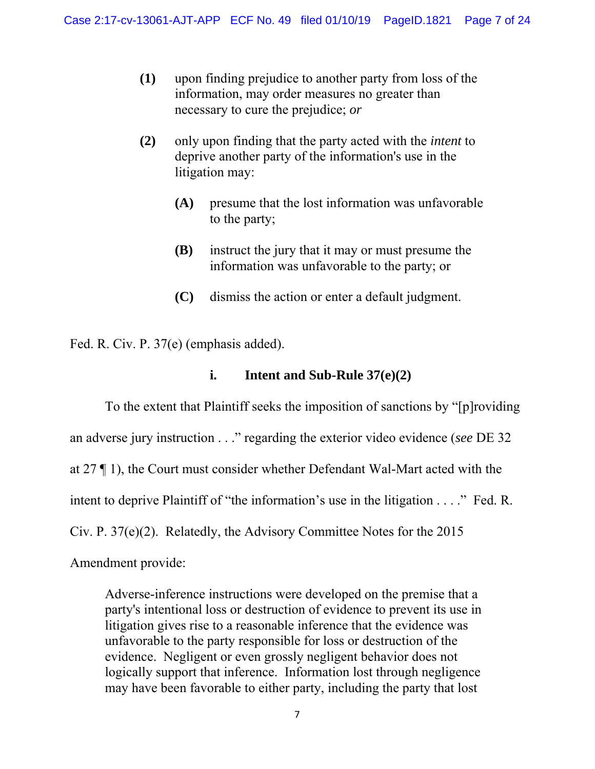- **(1)** upon finding prejudice to another party from loss of the information, may order measures no greater than necessary to cure the prejudice; *or*
- **(2)** only upon finding that the party acted with the *intent* to deprive another party of the information's use in the litigation may:
	- **(A)** presume that the lost information was unfavorable to the party;
	- **(B)** instruct the jury that it may or must presume the information was unfavorable to the party; or
	- **(C)** dismiss the action or enter a default judgment.

Fed. R. Civ. P. 37(e) (emphasis added).

## **i. Intent and Sub-Rule 37(e)(2)**

 To the extent that Plaintiff seeks the imposition of sanctions by "[p]roviding an adverse jury instruction . . ." regarding the exterior video evidence (*see* DE 32 at 27 ¶ 1), the Court must consider whether Defendant Wal-Mart acted with the intent to deprive Plaintiff of "the information's use in the litigation . . . ." Fed. R. Civ. P. 37(e)(2). Relatedly, the Advisory Committee Notes for the 2015 Amendment provide:

Adverse-inference instructions were developed on the premise that a party's intentional loss or destruction of evidence to prevent its use in litigation gives rise to a reasonable inference that the evidence was unfavorable to the party responsible for loss or destruction of the evidence. Negligent or even grossly negligent behavior does not logically support that inference. Information lost through negligence may have been favorable to either party, including the party that lost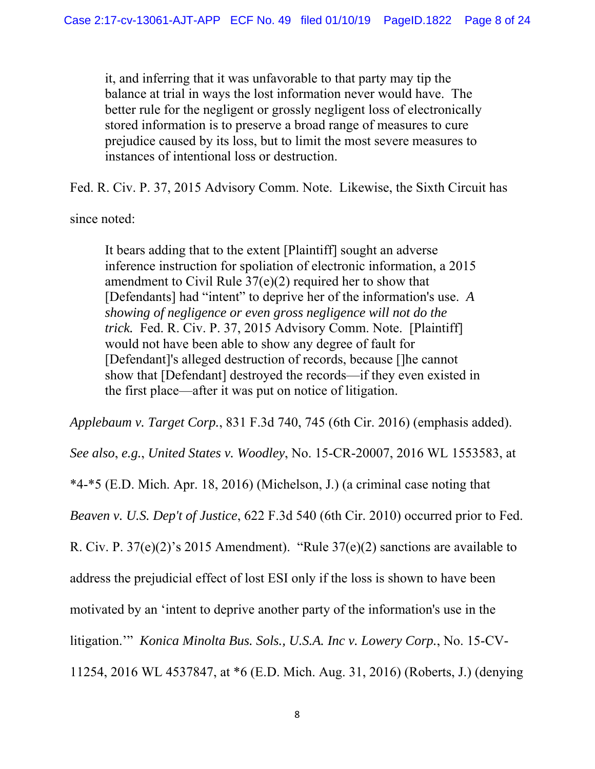it, and inferring that it was unfavorable to that party may tip the balance at trial in ways the lost information never would have. The better rule for the negligent or grossly negligent loss of electronically stored information is to preserve a broad range of measures to cure prejudice caused by its loss, but to limit the most severe measures to instances of intentional loss or destruction.

Fed. R. Civ. P. 37, 2015 Advisory Comm. Note. Likewise, the Sixth Circuit has

since noted:

It bears adding that to the extent [Plaintiff] sought an adverse inference instruction for spoliation of electronic information, a 2015 amendment to Civil Rule 37(e)(2) required her to show that [Defendants] had "intent" to deprive her of the information's use. *A showing of negligence or even gross negligence will not do the trick.* Fed. R. Civ. P. 37, 2015 Advisory Comm. Note. [Plaintiff] would not have been able to show any degree of fault for [Defendant]'s alleged destruction of records, because []he cannot show that [Defendant] destroyed the records—if they even existed in the first place—after it was put on notice of litigation.

*Applebaum v. Target Corp.*, 831 F.3d 740, 745 (6th Cir. 2016) (emphasis added).

*See also*, *e.g.*, *United States v. Woodley*, No. 15-CR-20007, 2016 WL 1553583, at

\*4-\*5 (E.D. Mich. Apr. 18, 2016) (Michelson, J.) (a criminal case noting that

*Beaven v. U.S. Dep't of Justice*, 622 F.3d 540 (6th Cir. 2010) occurred prior to Fed.

R. Civ. P. 37(e)(2)'s 2015 Amendment). "Rule 37(e)(2) sanctions are available to

address the prejudicial effect of lost ESI only if the loss is shown to have been

motivated by an 'intent to deprive another party of the information's use in the

litigation.'" *Konica Minolta Bus. Sols., U.S.A. Inc v. Lowery Corp.*, No. 15-CV-

11254, 2016 WL 4537847, at \*6 (E.D. Mich. Aug. 31, 2016) (Roberts, J.) (denying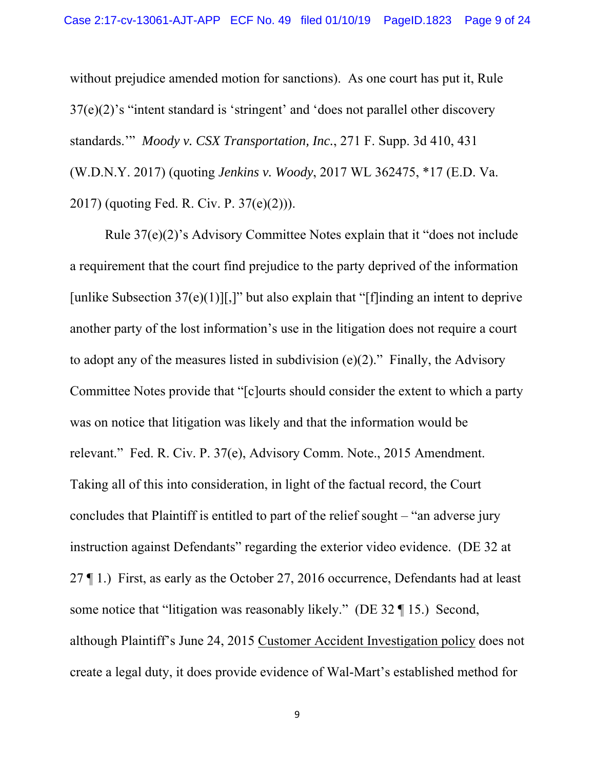without prejudice amended motion for sanctions). As one court has put it, Rule 37(e)(2)'s "intent standard is 'stringent' and 'does not parallel other discovery standards.'" *Moody v. CSX Transportation, Inc.*, 271 F. Supp. 3d 410, 431 (W.D.N.Y. 2017) (quoting *Jenkins v. Woody*, 2017 WL 362475, \*17 (E.D. Va. 2017) (quoting Fed. R. Civ. P. 37(e)(2))).

 Rule 37(e)(2)'s Advisory Committee Notes explain that it "does not include a requirement that the court find prejudice to the party deprived of the information [unlike Subsection  $37(e)(1)$ ][,]" but also explain that "[f]inding an intent to deprive another party of the lost information's use in the litigation does not require a court to adopt any of the measures listed in subdivision  $(e)(2)$ ." Finally, the Advisory Committee Notes provide that "[c]ourts should consider the extent to which a party was on notice that litigation was likely and that the information would be relevant." Fed. R. Civ. P. 37(e), Advisory Comm. Note., 2015 Amendment. Taking all of this into consideration, in light of the factual record, the Court concludes that Plaintiff is entitled to part of the relief sought – "an adverse jury instruction against Defendants" regarding the exterior video evidence. (DE 32 at 27 ¶ 1.) First, as early as the October 27, 2016 occurrence, Defendants had at least some notice that "litigation was reasonably likely." (DE 32 ¶ 15.) Second, although Plaintiff's June 24, 2015 Customer Accident Investigation policy does not create a legal duty, it does provide evidence of Wal-Mart's established method for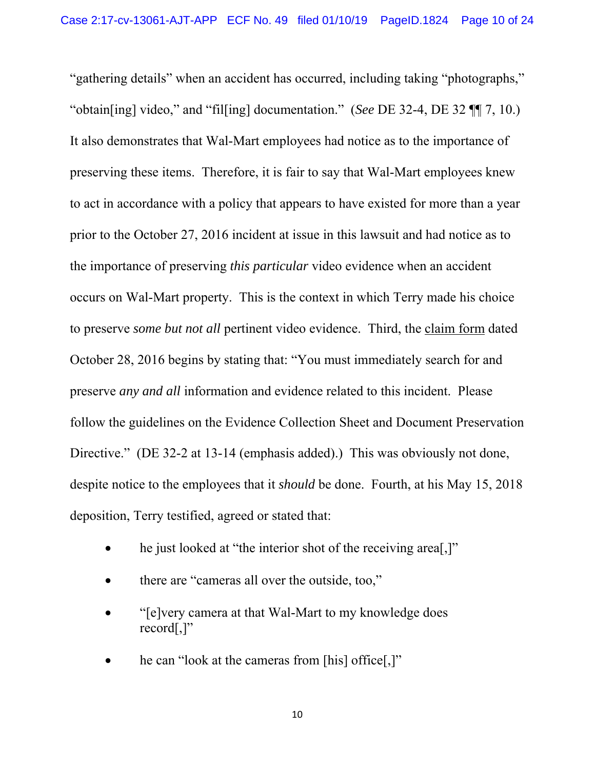"gathering details" when an accident has occurred, including taking "photographs," "obtain[ing] video," and "fil[ing] documentation." (*See* DE 32-4, DE 32 ¶¶ 7, 10.) It also demonstrates that Wal-Mart employees had notice as to the importance of preserving these items. Therefore, it is fair to say that Wal-Mart employees knew to act in accordance with a policy that appears to have existed for more than a year prior to the October 27, 2016 incident at issue in this lawsuit and had notice as to the importance of preserving *this particular* video evidence when an accident occurs on Wal-Mart property. This is the context in which Terry made his choice to preserve *some but not all* pertinent video evidence. Third, the claim form dated October 28, 2016 begins by stating that: "You must immediately search for and preserve *any and all* information and evidence related to this incident. Please follow the guidelines on the Evidence Collection Sheet and Document Preservation Directive." (DE 32-2 at 13-14 (emphasis added).) This was obviously not done, despite notice to the employees that it *should* be done. Fourth, at his May 15, 2018 deposition, Terry testified, agreed or stated that:

- he just looked at "the interior shot of the receiving area<sup>[1]</sup>,<sup>11</sup>
- there are "cameras all over the outside, too,"
- "[e]very camera at that Wal-Mart to my knowledge does record $[,$ ]"
- he can "look at the cameras from [his] office[,]"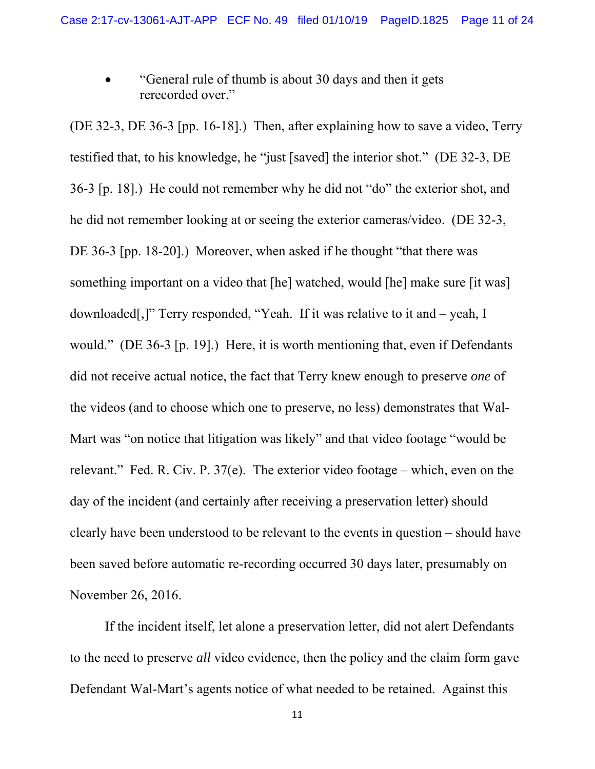• "General rule of thumb is about 30 days and then it gets rerecorded over."

(DE 32-3, DE 36-3 [pp. 16-18].) Then, after explaining how to save a video, Terry testified that, to his knowledge, he "just [saved] the interior shot." (DE 32-3, DE 36-3 [p. 18].) He could not remember why he did not "do" the exterior shot, and he did not remember looking at or seeing the exterior cameras/video. (DE 32-3, DE 36-3 [pp. 18-20].) Moreover, when asked if he thought "that there was something important on a video that [he] watched, would [he] make sure [it was] downloaded[,]" Terry responded, "Yeah. If it was relative to it and – yeah, I would." (DE 36-3 [p. 19].) Here, it is worth mentioning that, even if Defendants did not receive actual notice, the fact that Terry knew enough to preserve *one* of the videos (and to choose which one to preserve, no less) demonstrates that Wal-Mart was "on notice that litigation was likely" and that video footage "would be relevant." Fed. R. Civ. P. 37(e). The exterior video footage – which, even on the day of the incident (and certainly after receiving a preservation letter) should clearly have been understood to be relevant to the events in question – should have been saved before automatic re-recording occurred 30 days later, presumably on November 26, 2016.

If the incident itself, let alone a preservation letter, did not alert Defendants to the need to preserve *all* video evidence, then the policy and the claim form gave Defendant Wal-Mart's agents notice of what needed to be retained. Against this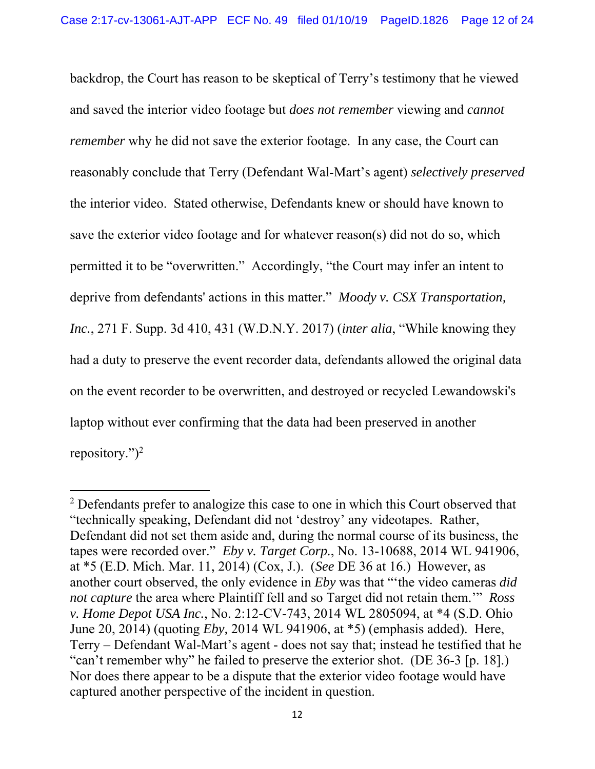backdrop, the Court has reason to be skeptical of Terry's testimony that he viewed and saved the interior video footage but *does not remember* viewing and *cannot remember* why he did not save the exterior footage. In any case, the Court can reasonably conclude that Terry (Defendant Wal-Mart's agent) *selectively preserved* the interior video. Stated otherwise, Defendants knew or should have known to save the exterior video footage and for whatever reason(s) did not do so, which permitted it to be "overwritten." Accordingly, "the Court may infer an intent to deprive from defendants' actions in this matter." *Moody v. CSX Transportation, Inc.*, 271 F. Supp. 3d 410, 431 (W.D.N.Y. 2017) (*inter alia*, "While knowing they had a duty to preserve the event recorder data, defendants allowed the original data on the event recorder to be overwritten, and destroyed or recycled Lewandowski's laptop without ever confirming that the data had been preserved in another repository." $)^2$ 

<sup>&</sup>lt;sup>2</sup> Defendants prefer to analogize this case to one in which this Court observed that "technically speaking, Defendant did not 'destroy' any videotapes. Rather, Defendant did not set them aside and, during the normal course of its business, the tapes were recorded over." *Eby v. Target Corp.*, No. 13-10688, 2014 WL 941906, at \*5 (E.D. Mich. Mar. 11, 2014) (Cox, J.). (*See* DE 36 at 16.) However, as another court observed, the only evidence in *Eby* was that "'the video cameras *did not capture* the area where Plaintiff fell and so Target did not retain them.'" *Ross v. Home Depot USA Inc.*, No. 2:12-CV-743, 2014 WL 2805094, at \*4 (S.D. Ohio June 20, 2014) (quoting *Eby,* 2014 WL 941906, at \*5) (emphasis added). Here, Terry – Defendant Wal-Mart's agent - does not say that; instead he testified that he "can't remember why" he failed to preserve the exterior shot. (DE 36-3 [p. 18].) Nor does there appear to be a dispute that the exterior video footage would have captured another perspective of the incident in question.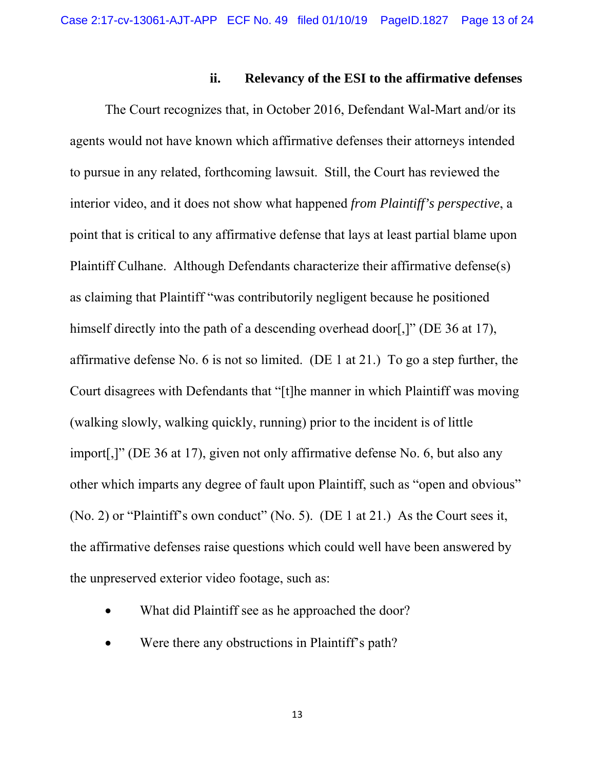#### **ii. Relevancy of the ESI to the affirmative defenses**

The Court recognizes that, in October 2016, Defendant Wal-Mart and/or its agents would not have known which affirmative defenses their attorneys intended to pursue in any related, forthcoming lawsuit. Still, the Court has reviewed the interior video, and it does not show what happened *from Plaintiff's perspective*, a point that is critical to any affirmative defense that lays at least partial blame upon Plaintiff Culhane. Although Defendants characterize their affirmative defense(s) as claiming that Plaintiff "was contributorily negligent because he positioned himself directly into the path of a descending overhead door[,]" (DE 36 at 17), affirmative defense No. 6 is not so limited. (DE 1 at 21.) To go a step further, the Court disagrees with Defendants that "[t]he manner in which Plaintiff was moving (walking slowly, walking quickly, running) prior to the incident is of little import[,]" (DE 36 at 17), given not only affirmative defense No. 6, but also any other which imparts any degree of fault upon Plaintiff, such as "open and obvious" (No. 2) or "Plaintiff's own conduct" (No. 5). (DE 1 at 21.) As the Court sees it, the affirmative defenses raise questions which could well have been answered by the unpreserved exterior video footage, such as:

- What did Plaintiff see as he approached the door?
- Were there any obstructions in Plaintiff's path?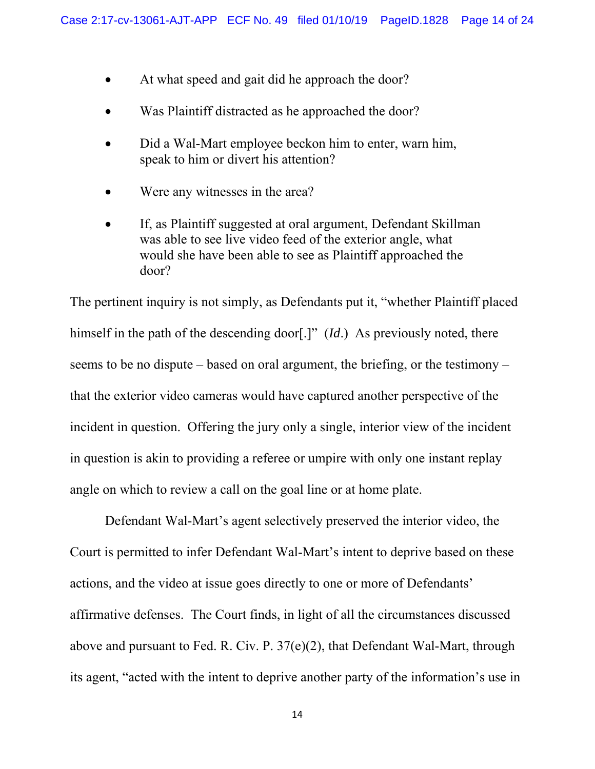- At what speed and gait did he approach the door?
- Was Plaintiff distracted as he approached the door?
- Did a Wal-Mart employee beckon him to enter, warn him, speak to him or divert his attention?
- Were any witnesses in the area?
- If, as Plaintiff suggested at oral argument, Defendant Skillman was able to see live video feed of the exterior angle, what would she have been able to see as Plaintiff approached the door?

The pertinent inquiry is not simply, as Defendants put it, "whether Plaintiff placed himself in the path of the descending door[.]" (*Id*.) As previously noted, there seems to be no dispute – based on oral argument, the briefing, or the testimony – that the exterior video cameras would have captured another perspective of the incident in question. Offering the jury only a single, interior view of the incident in question is akin to providing a referee or umpire with only one instant replay angle on which to review a call on the goal line or at home plate.

Defendant Wal-Mart's agent selectively preserved the interior video, the Court is permitted to infer Defendant Wal-Mart's intent to deprive based on these actions, and the video at issue goes directly to one or more of Defendants' affirmative defenses. The Court finds, in light of all the circumstances discussed above and pursuant to Fed. R. Civ. P. 37(e)(2), that Defendant Wal-Mart, through its agent, "acted with the intent to deprive another party of the information's use in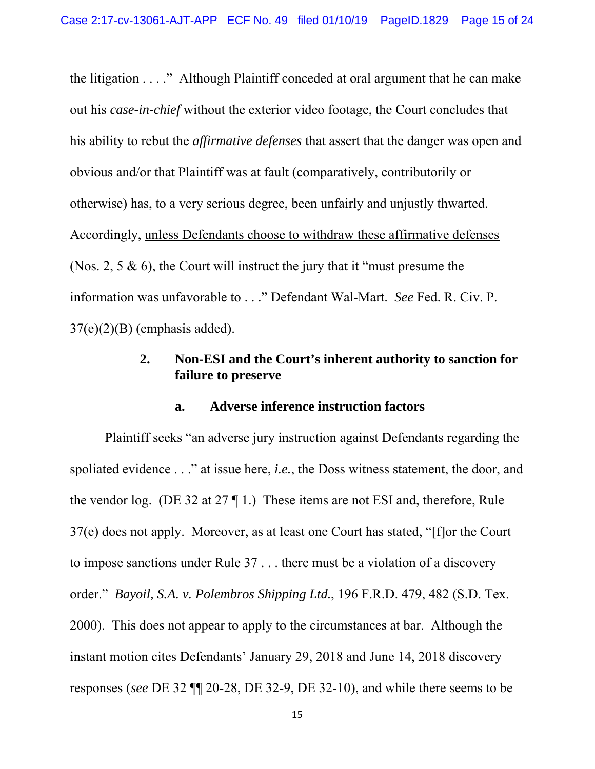the litigation . . . ." Although Plaintiff conceded at oral argument that he can make out his *case-in-chief* without the exterior video footage, the Court concludes that his ability to rebut the *affirmative defenses* that assert that the danger was open and obvious and/or that Plaintiff was at fault (comparatively, contributorily or otherwise) has, to a very serious degree, been unfairly and unjustly thwarted. Accordingly, unless Defendants choose to withdraw these affirmative defenses (Nos. 2, 5 & 6), the Court will instruct the jury that it "must presume the information was unfavorable to . . ." Defendant Wal-Mart. *See* Fed. R. Civ. P.  $37(e)(2)(B)$  (emphasis added).

### **2. Non-ESI and the Court's inherent authority to sanction for failure to preserve**

#### **a. Adverse inference instruction factors**

Plaintiff seeks "an adverse jury instruction against Defendants regarding the spoliated evidence . . ." at issue here, *i.e.*, the Doss witness statement, the door, and the vendor log. (DE 32 at 27 ¶ 1.) These items are not ESI and, therefore, Rule 37(e) does not apply. Moreover, as at least one Court has stated, "[f]or the Court to impose sanctions under Rule 37 . . . there must be a violation of a discovery order." *Bayoil, S.A. v. Polembros Shipping Ltd.*, 196 F.R.D. 479, 482 (S.D. Tex. 2000). This does not appear to apply to the circumstances at bar. Although the instant motion cites Defendants' January 29, 2018 and June 14, 2018 discovery responses (*see* DE 32 ¶¶ 20-28, DE 32-9, DE 32-10), and while there seems to be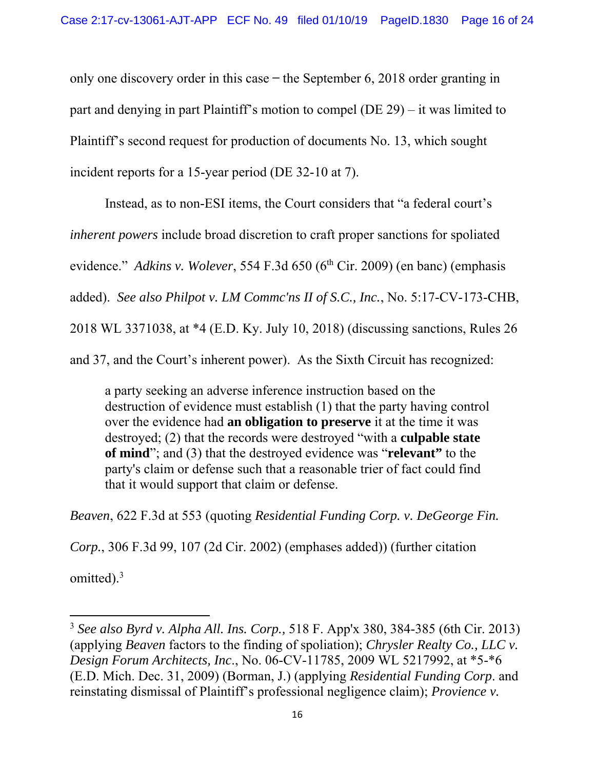only one discovery order in this case  $-$  the September 6, 2018 order granting in part and denying in part Plaintiff's motion to compel (DE 29) – it was limited to Plaintiff's second request for production of documents No. 13, which sought incident reports for a 15-year period (DE 32-10 at 7).

Instead, as to non-ESI items, the Court considers that "a federal court's *inherent powers* include broad discretion to craft proper sanctions for spoliated evidence." *Adkins v. Wolever*, 554 F.3d 650 (6<sup>th</sup> Cir. 2009) (en banc) (emphasis added). *See also Philpot v. LM Commc'ns II of S.C., Inc.*, No. 5:17-CV-173-CHB, 2018 WL 3371038, at \*4 (E.D. Ky. July 10, 2018) (discussing sanctions, Rules 26 and 37, and the Court's inherent power). As the Sixth Circuit has recognized:

a party seeking an adverse inference instruction based on the destruction of evidence must establish (1) that the party having control over the evidence had **an obligation to preserve** it at the time it was destroyed; (2) that the records were destroyed "with a **culpable state of mind**"; and (3) that the destroyed evidence was "**relevant"** to the party's claim or defense such that a reasonable trier of fact could find that it would support that claim or defense.

*Beaven*, 622 F.3d at 553 (quoting *Residential Funding Corp. v. DeGeorge Fin.* 

*Corp.*, 306 F.3d 99, 107 (2d Cir. 2002) (emphases added)) (further citation

omitted). $3$ 

<sup>3</sup> *See also Byrd v. Alpha All. Ins. Corp.,* 518 F. App'x 380, 384-385 (6th Cir. 2013) (applying *Beaven* factors to the finding of spoliation); *Chrysler Realty Co., LLC v. Design Forum Architects, Inc*., No. 06-CV-11785, 2009 WL 5217992, at \*5-\*6 (E.D. Mich. Dec. 31, 2009) (Borman, J.) (applying *Residential Funding Corp*. and reinstating dismissal of Plaintiff's professional negligence claim); *Provience v.*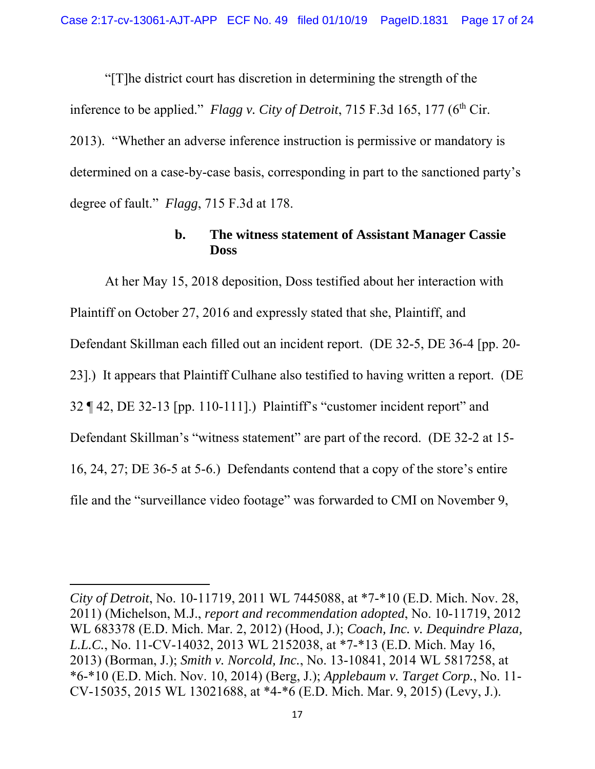"[T]he district court has discretion in determining the strength of the inference to be applied." *Flagg v. City of Detroit*, 715 F.3d 165, 177 ( $6<sup>th</sup>$  Cir.) 2013). "Whether an adverse inference instruction is permissive or mandatory is determined on a case-by-case basis, corresponding in part to the sanctioned party's degree of fault." *Flagg*, 715 F.3d at 178.

## **b. The witness statement of Assistant Manager Cassie Doss**

At her May 15, 2018 deposition, Doss testified about her interaction with Plaintiff on October 27, 2016 and expressly stated that she, Plaintiff, and Defendant Skillman each filled out an incident report. (DE 32-5, DE 36-4 [pp. 20- 23].) It appears that Plaintiff Culhane also testified to having written a report. (DE 32 ¶ 42, DE 32-13 [pp. 110-111].) Plaintiff's "customer incident report" and Defendant Skillman's "witness statement" are part of the record. (DE 32-2 at 15- 16, 24, 27; DE 36-5 at 5-6.) Defendants contend that a copy of the store's entire file and the "surveillance video footage" was forwarded to CMI on November 9,

*City of Detroit*, No. 10-11719, 2011 WL 7445088, at \*7-\*10 (E.D. Mich. Nov. 28, 2011) (Michelson, M.J., *report and recommendation adopted*, No. 10-11719, 2012 WL 683378 (E.D. Mich. Mar. 2, 2012) (Hood, J.); *Coach, Inc. v. Dequindre Plaza, L.L.C.*, No. 11-CV-14032, 2013 WL 2152038, at \*7-\*13 (E.D. Mich. May 16, 2013) (Borman, J.); *Smith v. Norcold, Inc.*, No. 13-10841, 2014 WL 5817258, at \*6-\*10 (E.D. Mich. Nov. 10, 2014) (Berg, J.); *Applebaum v. Target Corp.*, No. 11- CV-15035, 2015 WL 13021688, at \*4-\*6 (E.D. Mich. Mar. 9, 2015) (Levy, J.).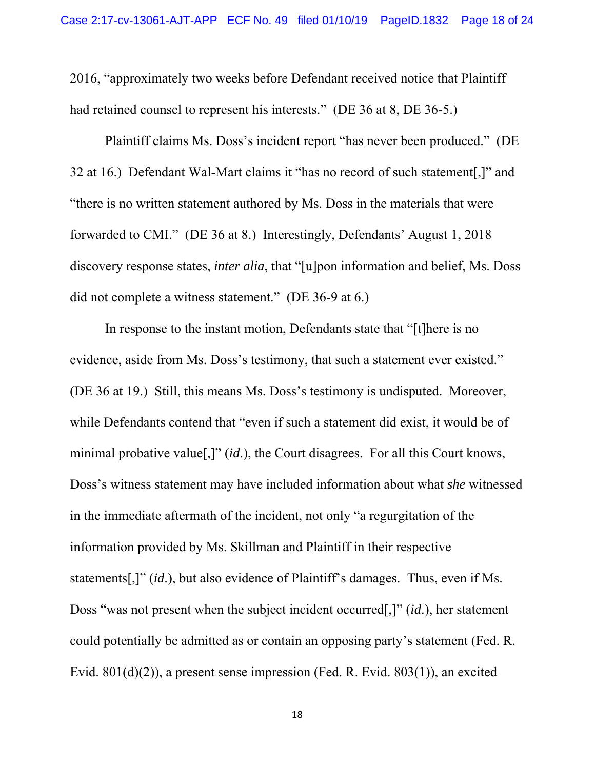2016, "approximately two weeks before Defendant received notice that Plaintiff had retained counsel to represent his interests." (DE 36 at 8, DE 36-5.)

Plaintiff claims Ms. Doss's incident report "has never been produced." (DE 32 at 16.) Defendant Wal-Mart claims it "has no record of such statement[,]" and "there is no written statement authored by Ms. Doss in the materials that were forwarded to CMI." (DE 36 at 8.) Interestingly, Defendants' August 1, 2018 discovery response states, *inter alia*, that "[u]pon information and belief, Ms. Doss did not complete a witness statement." (DE 36-9 at 6.)

In response to the instant motion, Defendants state that "[t]here is no evidence, aside from Ms. Doss's testimony, that such a statement ever existed." (DE 36 at 19.) Still, this means Ms. Doss's testimony is undisputed. Moreover, while Defendants contend that "even if such a statement did exist, it would be of minimal probative value[,]" (*id*.), the Court disagrees. For all this Court knows, Doss's witness statement may have included information about what *she* witnessed in the immediate aftermath of the incident, not only "a regurgitation of the information provided by Ms. Skillman and Plaintiff in their respective statements[,]" (*id*.), but also evidence of Plaintiff's damages. Thus, even if Ms. Doss "was not present when the subject incident occurred[,]" (*id*.), her statement could potentially be admitted as or contain an opposing party's statement (Fed. R. Evid. 801(d)(2)), a present sense impression (Fed. R. Evid. 803(1)), an excited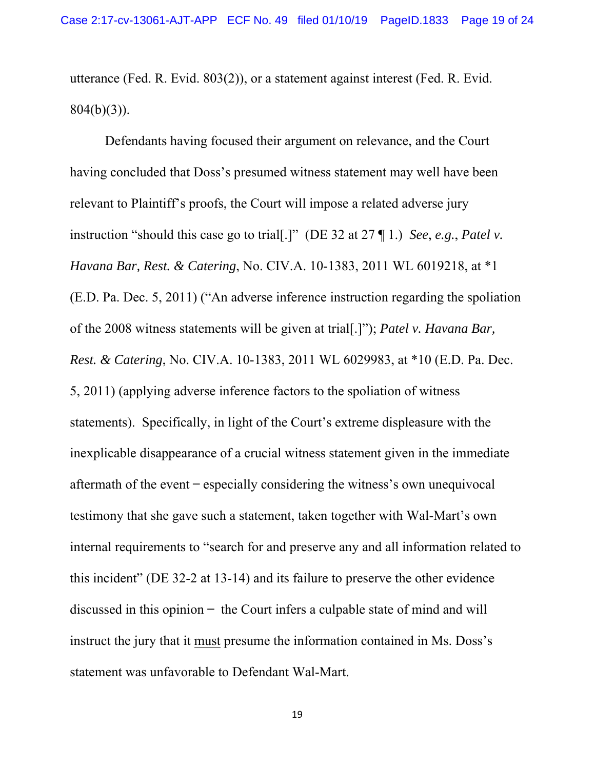utterance (Fed. R. Evid. 803(2)), or a statement against interest (Fed. R. Evid.  $804(b)(3)$ ).

Defendants having focused their argument on relevance, and the Court having concluded that Doss's presumed witness statement may well have been relevant to Plaintiff's proofs, the Court will impose a related adverse jury instruction "should this case go to trial[.]" (DE 32 at 27 ¶ 1.) *See*, *e.g.*, *Patel v. Havana Bar, Rest. & Catering*, No. CIV.A. 10-1383, 2011 WL 6019218, at \*1 (E.D. Pa. Dec. 5, 2011) ("An adverse inference instruction regarding the spoliation of the 2008 witness statements will be given at trial[.]"); *Patel v. Havana Bar, Rest. & Catering*, No. CIV.A. 10-1383, 2011 WL 6029983, at \*10 (E.D. Pa. Dec. 5, 2011) (applying adverse inference factors to the spoliation of witness statements). Specifically, in light of the Court's extreme displeasure with the inexplicable disappearance of a crucial witness statement given in the immediate aftermath of the event ̶ especially considering the witness's own unequivocal testimony that she gave such a statement, taken together with Wal-Mart's own internal requirements to "search for and preserve any and all information related to this incident" (DE 32-2 at 13-14) and its failure to preserve the other evidence discussed in this opinion  $-$  the Court infers a culpable state of mind and will instruct the jury that it must presume the information contained in Ms. Doss's statement was unfavorable to Defendant Wal-Mart.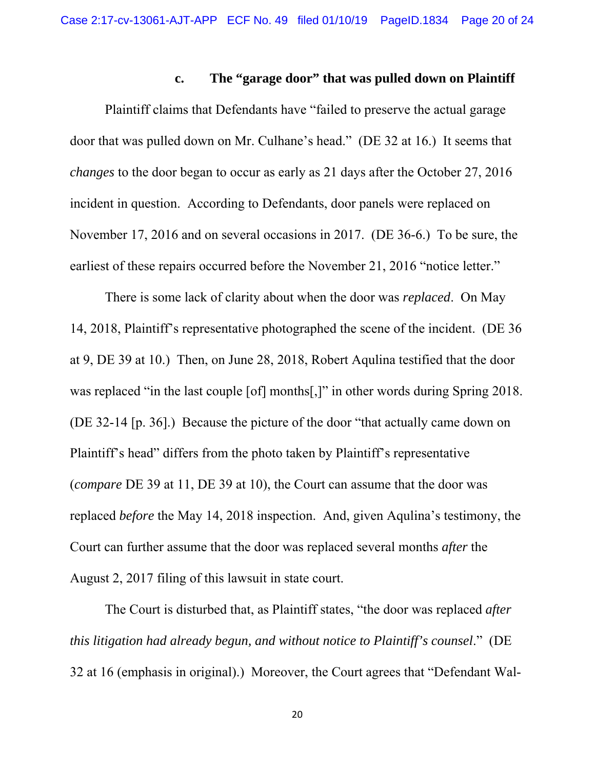# **c. The "garage door" that was pulled down on Plaintiff**

Plaintiff claims that Defendants have "failed to preserve the actual garage door that was pulled down on Mr. Culhane's head." (DE 32 at 16.) It seems that *changes* to the door began to occur as early as 21 days after the October 27, 2016 incident in question. According to Defendants, door panels were replaced on November 17, 2016 and on several occasions in 2017. (DE 36-6.) To be sure, the earliest of these repairs occurred before the November 21, 2016 "notice letter."

There is some lack of clarity about when the door was *replaced*. On May 14, 2018, Plaintiff's representative photographed the scene of the incident. (DE 36 at 9, DE 39 at 10.) Then, on June 28, 2018, Robert Aqulina testified that the door was replaced "in the last couple [of] months[,]" in other words during Spring 2018. (DE 32-14 [p. 36].) Because the picture of the door "that actually came down on Plaintiff's head" differs from the photo taken by Plaintiff's representative (*compare* DE 39 at 11, DE 39 at 10), the Court can assume that the door was replaced *before* the May 14, 2018 inspection. And, given Aqulina's testimony, the Court can further assume that the door was replaced several months *after* the August 2, 2017 filing of this lawsuit in state court.

The Court is disturbed that, as Plaintiff states, "the door was replaced *after this litigation had already begun, and without notice to Plaintiff's counsel*." (DE 32 at 16 (emphasis in original).) Moreover, the Court agrees that "Defendant Wal-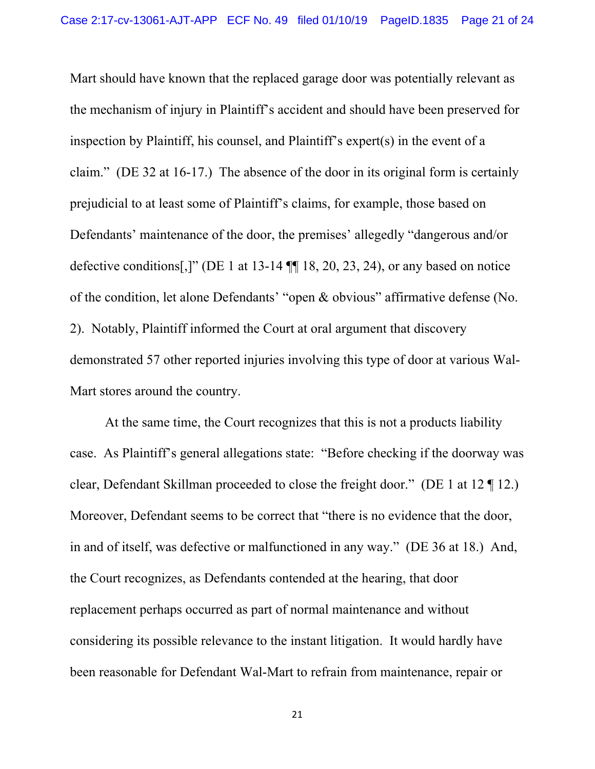Mart should have known that the replaced garage door was potentially relevant as the mechanism of injury in Plaintiff's accident and should have been preserved for inspection by Plaintiff, his counsel, and Plaintiff's expert(s) in the event of a claim." (DE 32 at 16-17.) The absence of the door in its original form is certainly prejudicial to at least some of Plaintiff's claims, for example, those based on Defendants' maintenance of the door, the premises' allegedly "dangerous and/or defective conditions[,]" (DE 1 at  $13-14$   $\P$  $\P$  $18$ ,  $20$ ,  $23$ ,  $24$ ), or any based on notice of the condition, let alone Defendants' "open & obvious" affirmative defense (No. 2). Notably, Plaintiff informed the Court at oral argument that discovery demonstrated 57 other reported injuries involving this type of door at various Wal-Mart stores around the country.

At the same time, the Court recognizes that this is not a products liability case. As Plaintiff's general allegations state: "Before checking if the doorway was clear, Defendant Skillman proceeded to close the freight door." (DE 1 at 12 ¶ 12.) Moreover, Defendant seems to be correct that "there is no evidence that the door, in and of itself, was defective or malfunctioned in any way." (DE 36 at 18.) And, the Court recognizes, as Defendants contended at the hearing, that door replacement perhaps occurred as part of normal maintenance and without considering its possible relevance to the instant litigation. It would hardly have been reasonable for Defendant Wal-Mart to refrain from maintenance, repair or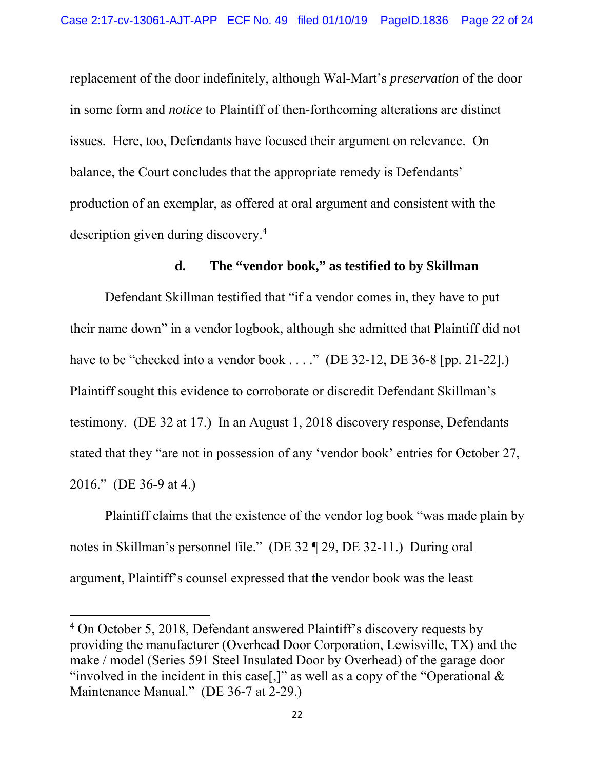replacement of the door indefinitely, although Wal-Mart's *preservation* of the door in some form and *notice* to Plaintiff of then-forthcoming alterations are distinct issues. Here, too, Defendants have focused their argument on relevance. On balance, the Court concludes that the appropriate remedy is Defendants' production of an exemplar, as offered at oral argument and consistent with the description given during discovery.4

### **d. The "vendor book," as testified to by Skillman**

Defendant Skillman testified that "if a vendor comes in, they have to put their name down" in a vendor logbook, although she admitted that Plaintiff did not have to be "checked into a vendor book . . . ." (DE 32-12, DE 36-8 [pp. 21-22].) Plaintiff sought this evidence to corroborate or discredit Defendant Skillman's testimony. (DE 32 at 17.) In an August 1, 2018 discovery response, Defendants stated that they "are not in possession of any 'vendor book' entries for October 27, 2016." (DE 36-9 at 4.)

Plaintiff claims that the existence of the vendor log book "was made plain by notes in Skillman's personnel file." (DE 32 ¶ 29, DE 32-11.) During oral argument, Plaintiff's counsel expressed that the vendor book was the least

<sup>&</sup>lt;sup>4</sup> On October 5, 2018, Defendant answered Plaintiff's discovery requests by providing the manufacturer (Overhead Door Corporation, Lewisville, TX) and the make / model (Series 591 Steel Insulated Door by Overhead) of the garage door "involved in the incident in this case<sup>[1]</sup>" as well as a copy of the "Operational  $\&$ Maintenance Manual." (DE 36-7 at 2-29.)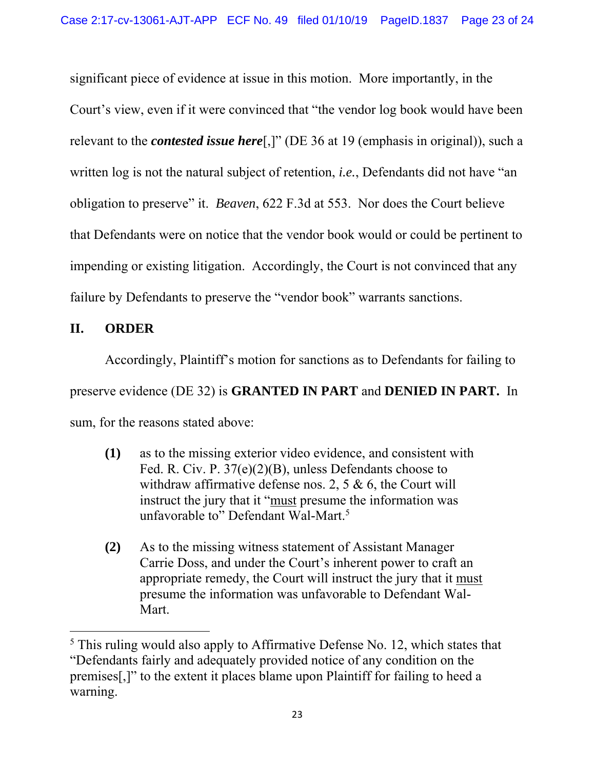significant piece of evidence at issue in this motion. More importantly, in the Court's view, even if it were convinced that "the vendor log book would have been relevant to the *contested issue here*[,]" (DE 36 at 19 (emphasis in original)), such a written log is not the natural subject of retention, *i.e.*, Defendants did not have "an obligation to preserve" it. *Beaven*, 622 F.3d at 553. Nor does the Court believe that Defendants were on notice that the vendor book would or could be pertinent to impending or existing litigation. Accordingly, the Court is not convinced that any failure by Defendants to preserve the "vendor book" warrants sanctions.

## **II. ORDER**

Accordingly, Plaintiff's motion for sanctions as to Defendants for failing to preserve evidence (DE 32) is **GRANTED IN PART** and **DENIED IN PART.** In sum, for the reasons stated above:

- **(1)** as to the missing exterior video evidence, and consistent with Fed. R. Civ. P. 37(e)(2)(B), unless Defendants choose to withdraw affirmative defense nos. 2, 5 & 6, the Court will instruct the jury that it "must presume the information was unfavorable to" Defendant Wal-Mart.<sup>5</sup>
- **(2)** As to the missing witness statement of Assistant Manager Carrie Doss, and under the Court's inherent power to craft an appropriate remedy, the Court will instruct the jury that it must presume the information was unfavorable to Defendant Wal-Mart.

<sup>&</sup>lt;sup>5</sup> This ruling would also apply to Affirmative Defense No. 12, which states that "Defendants fairly and adequately provided notice of any condition on the premises[,]" to the extent it places blame upon Plaintiff for failing to heed a warning.